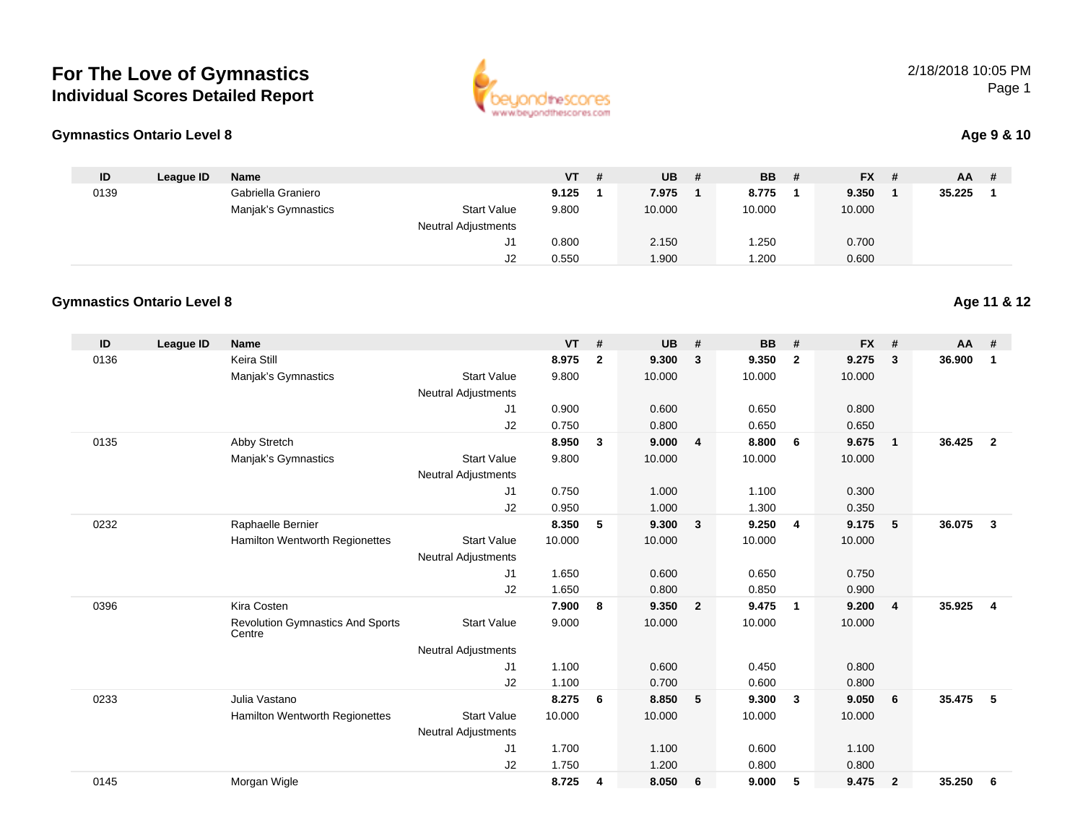

| beuondthescore          |
|-------------------------|
| www.beyondthescores.com |

### **Age 9 & 10**

| ID   | League ID | <b>Name</b>         |                            | $VT$ # | <b>UB</b> | <b>BB</b> | - # | <b>FX</b> | -# | AA.    |  |
|------|-----------|---------------------|----------------------------|--------|-----------|-----------|-----|-----------|----|--------|--|
| 0139 |           | Gabriella Graniero  |                            | 9.125  | 7.975     | 8.775     |     | 9.350     |    | 35.225 |  |
|      |           | Manjak's Gymnastics | <b>Start Value</b>         | 9.800  | 10.000    | 10.000    |     | 10.000    |    |        |  |
|      |           |                     | <b>Neutral Adjustments</b> |        |           |           |     |           |    |        |  |
|      |           |                     |                            | 0.800  | 2.150     | 1.250     |     | 0.700     |    |        |  |
|      |           |                     | J2                         | 0.550  | .900      | 1.200     |     | 0.600     |    |        |  |

#### **Gymnastics Ontario Level 8Age 11 & 12**

| ID   | League ID | <b>Name</b>                                       |                            | <b>VT</b> | #              | <b>UB</b> | #                       | <b>BB</b> | #              | <b>FX</b> | #              | AA     | #                       |
|------|-----------|---------------------------------------------------|----------------------------|-----------|----------------|-----------|-------------------------|-----------|----------------|-----------|----------------|--------|-------------------------|
| 0136 |           | Keira Still                                       |                            | 8.975     | $\overline{2}$ | 9.300     | 3                       | 9.350     | $\overline{2}$ | 9.275     | 3              | 36.900 | $\mathbf{1}$            |
|      |           | Manjak's Gymnastics                               | <b>Start Value</b>         | 9.800     |                | 10.000    |                         | 10.000    |                | 10.000    |                |        |                         |
|      |           |                                                   | <b>Neutral Adjustments</b> |           |                |           |                         |           |                |           |                |        |                         |
|      |           |                                                   | J1                         | 0.900     |                | 0.600     |                         | 0.650     |                | 0.800     |                |        |                         |
|      |           |                                                   | J2                         | 0.750     |                | 0.800     |                         | 0.650     |                | 0.650     |                |        |                         |
| 0135 |           | Abby Stretch                                      |                            | 8.950     | $\mathbf{3}$   | 9.000     | $\overline{4}$          | 8.800     | 6              | 9.675     | $\mathbf{1}$   | 36.425 | $\overline{2}$          |
|      |           | Manjak's Gymnastics                               | <b>Start Value</b>         | 9.800     |                | 10.000    |                         | 10.000    |                | 10.000    |                |        |                         |
|      |           |                                                   | <b>Neutral Adjustments</b> |           |                |           |                         |           |                |           |                |        |                         |
|      |           |                                                   | J1                         | 0.750     |                | 1.000     |                         | 1.100     |                | 0.300     |                |        |                         |
|      |           |                                                   | J2                         | 0.950     |                | 1.000     |                         | 1.300     |                | 0.350     |                |        |                         |
| 0232 |           | Raphaelle Bernier                                 |                            | 8.350     | 5              | 9.300     | $\overline{\mathbf{3}}$ | 9.250     | $\overline{4}$ | 9.175     | 5              | 36.075 | $\overline{\mathbf{3}}$ |
|      |           | <b>Hamilton Wentworth Regionettes</b>             | <b>Start Value</b>         | 10.000    |                | 10.000    |                         | 10.000    |                | 10.000    |                |        |                         |
|      |           |                                                   | <b>Neutral Adjustments</b> |           |                |           |                         |           |                |           |                |        |                         |
|      |           |                                                   | J1                         | 1.650     |                | 0.600     |                         | 0.650     |                | 0.750     |                |        |                         |
|      |           |                                                   | J2                         | 1.650     |                | 0.800     |                         | 0.850     |                | 0.900     |                |        |                         |
| 0396 |           | Kira Costen                                       |                            | 7.900     | 8              | 9.350     | $\overline{\mathbf{2}}$ | 9.475     | $\mathbf{1}$   | 9.200     | 4              | 35.925 | $\overline{4}$          |
|      |           | <b>Revolution Gymnastics And Sports</b><br>Centre | <b>Start Value</b>         | 9.000     |                | 10.000    |                         | 10.000    |                | 10.000    |                |        |                         |
|      |           |                                                   | <b>Neutral Adjustments</b> |           |                |           |                         |           |                |           |                |        |                         |
|      |           |                                                   | J1                         | 1.100     |                | 0.600     |                         | 0.450     |                | 0.800     |                |        |                         |
|      |           |                                                   | J2                         | 1.100     |                | 0.700     |                         | 0.600     |                | 0.800     |                |        |                         |
| 0233 |           | Julia Vastano                                     |                            | 8.275     | 6              | 8.850     | 5                       | 9.300     | 3              | 9.050     | 6              | 35.475 | 5                       |
|      |           | Hamilton Wentworth Regionettes                    | <b>Start Value</b>         | 10.000    |                | 10.000    |                         | 10.000    |                | 10.000    |                |        |                         |
|      |           |                                                   | <b>Neutral Adjustments</b> |           |                |           |                         |           |                |           |                |        |                         |
|      |           |                                                   | J1                         | 1.700     |                | 1.100     |                         | 0.600     |                | 1.100     |                |        |                         |
|      |           |                                                   | J2                         | 1.750     |                | 1.200     |                         | 0.800     |                | 0.800     |                |        |                         |
| 0145 |           | Morgan Wigle                                      |                            | 8.725     | 4              | 8.050     | 6                       | 9.000     | 5              | 9.475     | $\overline{2}$ | 35.250 | 6                       |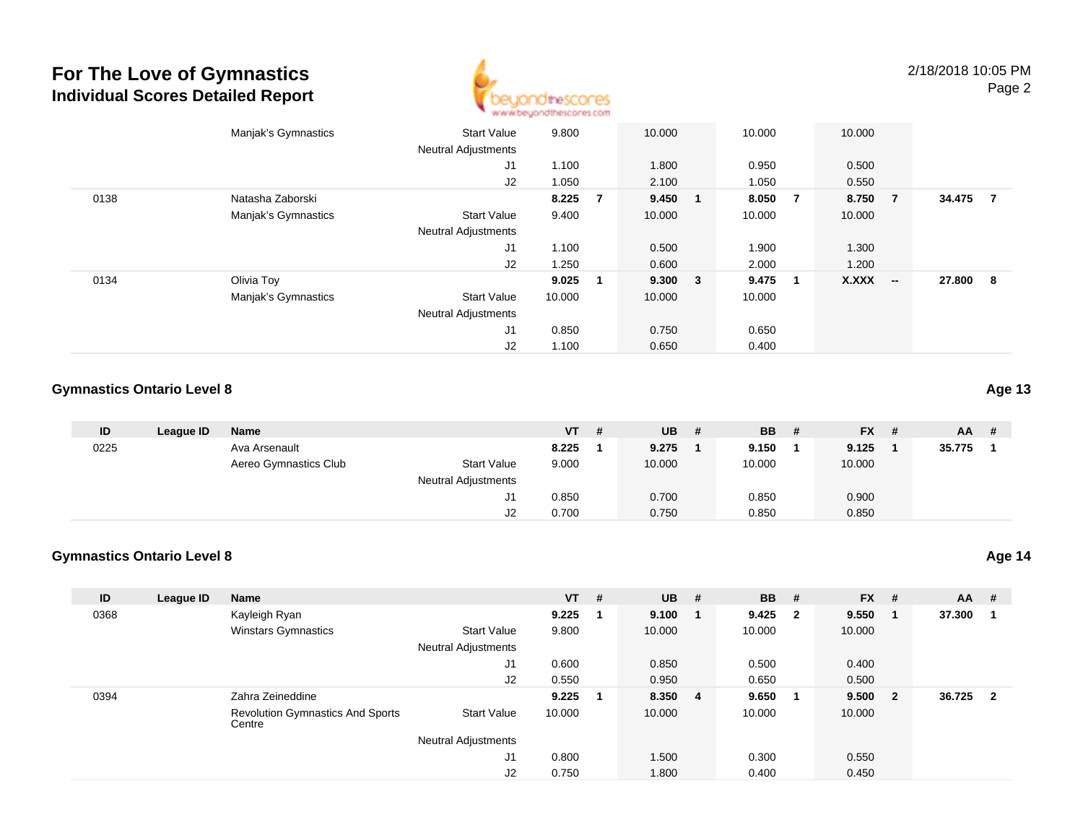

|      | Manjak's Gymnastics | <b>Start Value</b>                                 | 9.800          |             | 10.000         |    | 10.000         |     | 10.000         |     |        |                |
|------|---------------------|----------------------------------------------------|----------------|-------------|----------------|----|----------------|-----|----------------|-----|--------|----------------|
|      |                     | <b>Neutral Adjustments</b><br>J <sub>1</sub><br>J2 | 1.100<br>1.050 |             | 1.800<br>2.100 |    | 0.950<br>1.050 |     | 0.500<br>0.550 |     |        |                |
| 0138 | Natasha Zaborski    |                                                    | 8.225          | -7          | 9.450          | -1 | 8.050          | - 7 | 8.750 7        |     | 34.475 | $\overline{7}$ |
|      | Manjak's Gymnastics | <b>Start Value</b><br><b>Neutral Adjustments</b>   | 9.400          |             | 10.000         |    | 10.000         |     | 10.000         |     |        |                |
|      |                     | J <sub>1</sub><br>J2                               | 1.100<br>1.250 |             | 0.500<br>0.600 |    | 1.900<br>2.000 |     | 1.300<br>1.200 |     |        |                |
| 0134 | Olivia Toy          |                                                    | 9.025          | $\mathbf 1$ | 9.300 3        |    | 9.475          | -1  | <b>X.XXX</b>   | $-$ | 27.800 | 8              |
|      | Manjak's Gymnastics | <b>Start Value</b><br><b>Neutral Adjustments</b>   | 10.000         |             | 10.000         |    | 10.000         |     |                |     |        |                |
|      |                     | J <sub>1</sub>                                     | 0.850          |             | 0.750          |    | 0.650          |     |                |     |        |                |
|      |                     | J2                                                 | 1.100          |             | 0.650          |    | 0.400          |     |                |     |        |                |

### **Gymnastics Ontario Level 8**

| ID   | League ID | Name                  |                            | VT    | # | <b>UB</b> | # | <b>BB</b> | # | $FX$ # | AA.    | # |
|------|-----------|-----------------------|----------------------------|-------|---|-----------|---|-----------|---|--------|--------|---|
| 0225 |           | Ava Arsenault         |                            | 8.225 |   | 9.275     |   | 9.150     |   | 9.125  | 35.775 |   |
|      |           | Aereo Gymnastics Club | <b>Start Value</b>         | 9.000 |   | 10.000    |   | 10.000    |   | 10.000 |        |   |
|      |           |                       | <b>Neutral Adjustments</b> |       |   |           |   |           |   |        |        |   |
|      |           |                       | J1                         | 0.850 |   | 0.700     |   | 0.850     |   | 0.900  |        |   |
|      |           |                       | J2                         | 0.700 |   | 0.750     |   | 0.850     |   | 0.850  |        |   |

#### **Gymnastics Ontario Level 8Age 14**

| ID   | League ID | <b>Name</b>                                       |                            | <b>VT</b> | # | <b>UB</b> | - #            | <b>BB</b> | #                       | <b>FX</b> | #                       | <b>AA</b> | #                       |
|------|-----------|---------------------------------------------------|----------------------------|-----------|---|-----------|----------------|-----------|-------------------------|-----------|-------------------------|-----------|-------------------------|
| 0368 |           | Kayleigh Ryan                                     |                            | 9.225     |   | 9.100     |                | 9.425     | $\overline{\mathbf{2}}$ | 9.550     |                         | 37.300    |                         |
|      |           | <b>Winstars Gymnastics</b>                        | <b>Start Value</b>         | 9.800     |   | 10.000    |                | 10.000    |                         | 10.000    |                         |           |                         |
|      |           |                                                   | <b>Neutral Adjustments</b> |           |   |           |                |           |                         |           |                         |           |                         |
|      |           |                                                   | J1                         | 0.600     |   | 0.850     |                | 0.500     |                         | 0.400     |                         |           |                         |
|      |           |                                                   | J2                         | 0.550     |   | 0.950     |                | 0.650     |                         | 0.500     |                         |           |                         |
| 0394 |           | Zahra Zeineddine                                  |                            | 9.225     |   | 8.350     | $\overline{4}$ | 9.650     |                         | 9.500     | $\overline{\mathbf{2}}$ | 36.725    | $\overline{\mathbf{2}}$ |
|      |           | <b>Revolution Gymnastics And Sports</b><br>Centre | <b>Start Value</b>         | 10.000    |   | 10.000    |                | 10.000    |                         | 10.000    |                         |           |                         |
|      |           |                                                   | <b>Neutral Adjustments</b> |           |   |           |                |           |                         |           |                         |           |                         |
|      |           |                                                   | J1                         | 0.800     |   | 1.500     |                | 0.300     |                         | 0.550     |                         |           |                         |
|      |           |                                                   | J <sub>2</sub>             | 0.750     |   | 1.800     |                | 0.400     |                         | 0.450     |                         |           |                         |

**Age 13**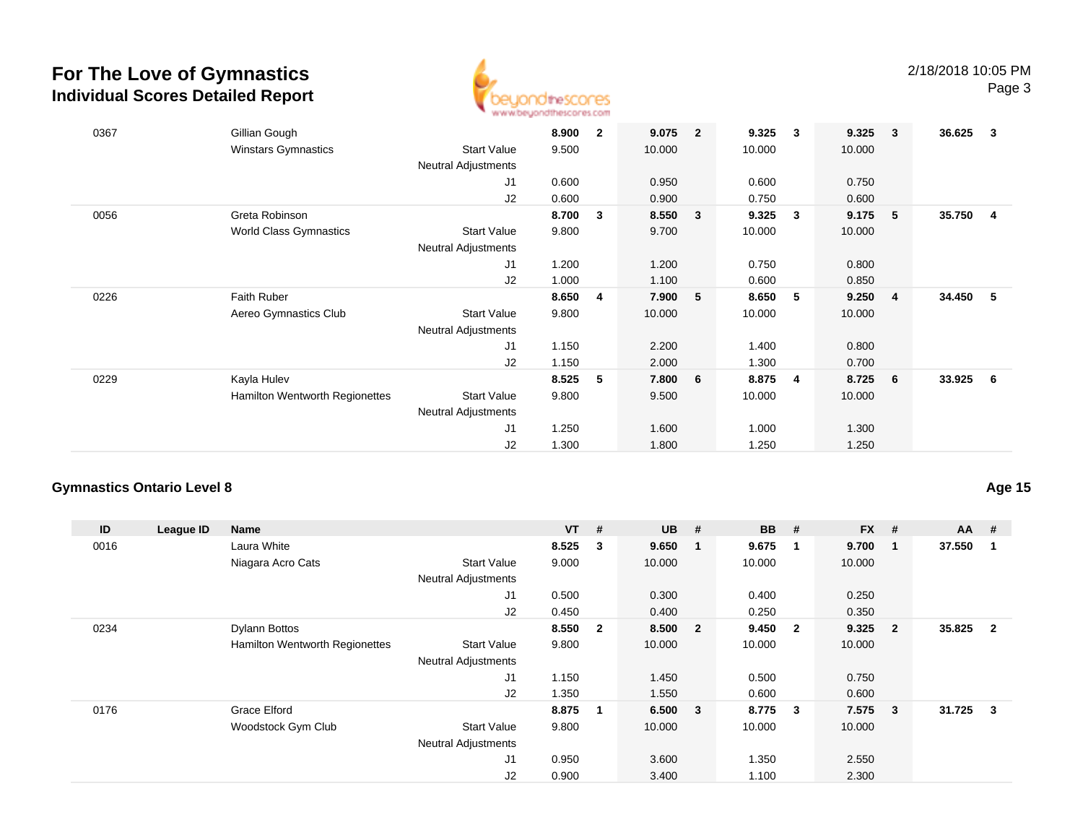

| 0367 | Gillian Gough<br><b>Winstars Gymnastics</b> | <b>Start Value</b><br>Neutral Adjustments | 8.900<br>9.500 | $\mathbf{2}$ | 9.075<br>10.000 | $\overline{2}$ | 9.325<br>10.000 | 3 | 9.325<br>10.000 | $\overline{\mathbf{3}}$ | 36.625 | $\overline{\mathbf{3}}$ |
|------|---------------------------------------------|-------------------------------------------|----------------|--------------|-----------------|----------------|-----------------|---|-----------------|-------------------------|--------|-------------------------|
|      |                                             | J <sub>1</sub>                            | 0.600          |              | 0.950           |                | 0.600           |   | 0.750           |                         |        |                         |
|      |                                             | J2                                        | 0.600          |              | 0.900           |                | 0.750           |   | 0.600           |                         |        |                         |
| 0056 | Greta Robinson                              |                                           | 8.700          | 3            | 8.550           | 3              | 9.325           | 3 | 9.175           | 5 <sub>5</sub>          | 35.750 | - 4                     |
|      | <b>World Class Gymnastics</b>               | <b>Start Value</b>                        | 9.800          |              | 9.700           |                | 10.000          |   | 10.000          |                         |        |                         |
|      |                                             | Neutral Adjustments                       |                |              |                 |                |                 |   |                 |                         |        |                         |
|      |                                             | J1                                        | 1.200          |              | 1.200           |                | 0.750           |   | 0.800           |                         |        |                         |
|      |                                             | J2                                        | 1.000          |              | 1.100           |                | 0.600           |   | 0.850           |                         |        |                         |
| 0226 | Faith Ruber                                 |                                           | 8.650          | 4            | 7.900           | 5              | 8.650           | 5 | 9.250           | $\overline{4}$          | 34.450 | 5                       |
|      | Aereo Gymnastics Club                       | <b>Start Value</b>                        | 9.800          |              | 10.000          |                | 10.000          |   | 10.000          |                         |        |                         |
|      |                                             | <b>Neutral Adjustments</b>                |                |              |                 |                |                 |   |                 |                         |        |                         |
|      |                                             | J1                                        | 1.150          |              | 2.200           |                | 1.400           |   | 0.800           |                         |        |                         |
|      |                                             | J2                                        | 1.150          |              | 2.000           |                | 1.300           |   | 0.700           |                         |        |                         |
| 0229 | Kayla Hulev                                 |                                           | 8.525          | 5            | 7.800           | 6              | 8.875           | 4 | 8.725           | 6                       | 33.925 | 6                       |
|      | Hamilton Wentworth Regionettes              | <b>Start Value</b>                        | 9.800          |              | 9.500           |                | 10.000          |   | 10.000          |                         |        |                         |
|      |                                             | <b>Neutral Adjustments</b>                |                |              |                 |                |                 |   |                 |                         |        |                         |
|      |                                             | J1                                        | 1.250          |              | 1.600           |                | 1.000           |   | 1.300           |                         |        |                         |
|      |                                             | J2                                        | 1.300          |              | 1.800           |                | 1.250           |   | 1.250           |                         |        |                         |

### **Gymnastics Ontario Level 8**

**Age 15**

| ID   | League ID | <b>Name</b>                    |                            | $VT$ #    |                         | $UB$ # |                         | <b>BB</b> | #                       | <b>FX</b> | #              | $AA$ # |                |
|------|-----------|--------------------------------|----------------------------|-----------|-------------------------|--------|-------------------------|-----------|-------------------------|-----------|----------------|--------|----------------|
| 0016 |           | Laura White                    |                            | $8.525$ 3 |                         | 9.650  |                         | 9.675     | - 1                     | 9.700     | -1             | 37.550 |                |
|      |           | Niagara Acro Cats              | <b>Start Value</b>         | 9.000     |                         | 10.000 |                         | 10.000    |                         | 10.000    |                |        |                |
|      |           |                                | <b>Neutral Adjustments</b> |           |                         |        |                         |           |                         |           |                |        |                |
|      |           |                                | J1                         | 0.500     |                         | 0.300  |                         | 0.400     |                         | 0.250     |                |        |                |
|      |           |                                | J2                         | 0.450     |                         | 0.400  |                         | 0.250     |                         | 0.350     |                |        |                |
| 0234 |           | Dylann Bottos                  |                            | 8.550     | $\overline{\mathbf{2}}$ | 8.500  | $\overline{\mathbf{2}}$ | 9.450     | $\overline{\mathbf{2}}$ | 9.325     | $\overline{2}$ | 35.825 | $\overline{2}$ |
|      |           | Hamilton Wentworth Regionettes | <b>Start Value</b>         | 9.800     |                         | 10.000 |                         | 10.000    |                         | 10.000    |                |        |                |
|      |           |                                | <b>Neutral Adjustments</b> |           |                         |        |                         |           |                         |           |                |        |                |
|      |           |                                | J1                         | 1.150     |                         | 1.450  |                         | 0.500     |                         | 0.750     |                |        |                |
|      |           |                                | J2                         | 1.350     |                         | 1.550  |                         | 0.600     |                         | 0.600     |                |        |                |
| 0176 |           | Grace Elford                   |                            | 8.875     | $\mathbf{1}$            | 6.500  | $\overline{\mathbf{3}}$ | 8.775     | $\overline{\mathbf{3}}$ | 7.575     | $\mathbf{3}$   | 31.725 | $\mathbf{3}$   |
|      |           | Woodstock Gym Club             | <b>Start Value</b>         | 9.800     |                         | 10.000 |                         | 10.000    |                         | 10.000    |                |        |                |
|      |           |                                | <b>Neutral Adjustments</b> |           |                         |        |                         |           |                         |           |                |        |                |
|      |           |                                | J1                         | 0.950     |                         | 3.600  |                         | 1.350     |                         | 2.550     |                |        |                |
|      |           |                                | J2                         | 0.900     |                         | 3.400  |                         | 1.100     |                         | 2.300     |                |        |                |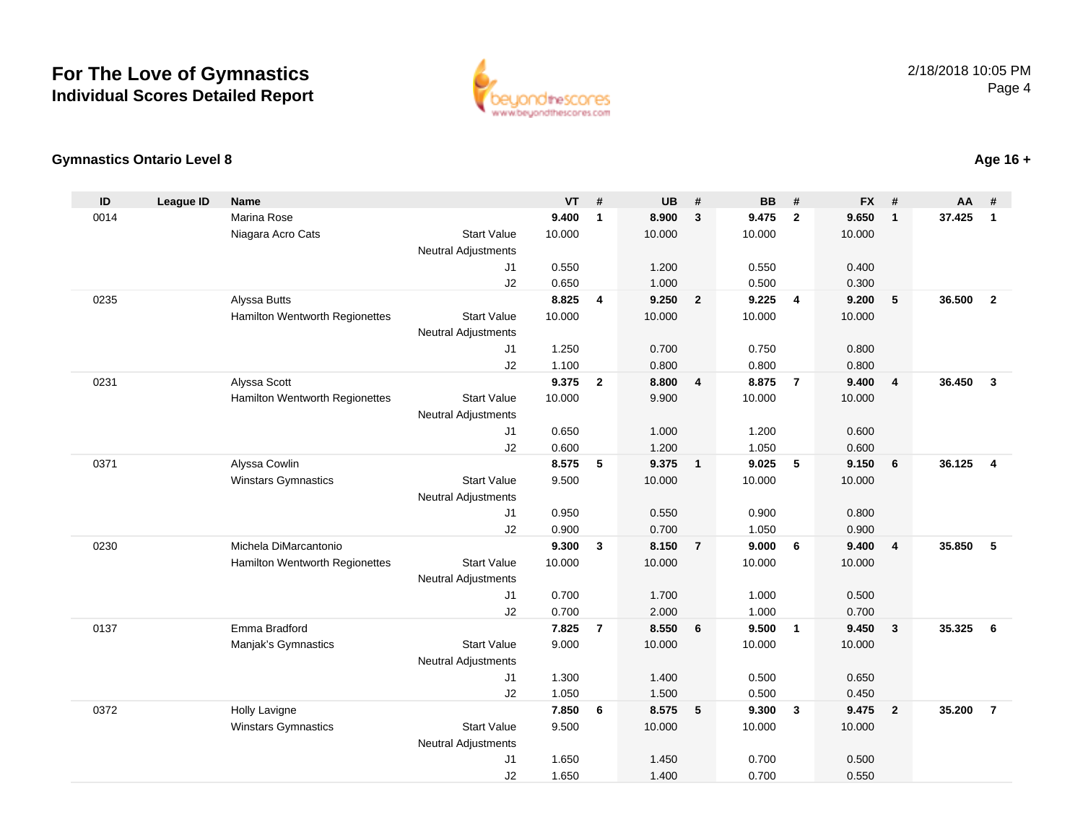

### **Gymnastics Ontario Level 8**

| ID   | <b>League ID</b> | <b>Name</b>                    |                                  | <b>VT</b>      | #                       | <b>UB</b>      | #                        | <b>BB</b>      | #              | <b>FX</b>      | #              | <b>AA</b> | #              |
|------|------------------|--------------------------------|----------------------------------|----------------|-------------------------|----------------|--------------------------|----------------|----------------|----------------|----------------|-----------|----------------|
| 0014 |                  | <b>Marina Rose</b>             |                                  | 9.400          | $\mathbf{1}$            | 8.900          | $\mathbf{3}$             | 9.475          | $\overline{2}$ | 9.650          | $\mathbf{1}$   | 37.425    | $\mathbf{1}$   |
|      |                  | Niagara Acro Cats              | <b>Start Value</b>               | 10.000         |                         | 10.000         |                          | 10.000         |                | 10.000         |                |           |                |
|      |                  |                                | <b>Neutral Adjustments</b>       |                |                         |                |                          |                |                |                |                |           |                |
|      |                  |                                | J <sub>1</sub>                   | 0.550          |                         | 1.200          |                          | 0.550          |                | 0.400          |                |           |                |
|      |                  |                                | J2                               | 0.650          |                         | 1.000          |                          | 0.500          |                | 0.300          |                |           |                |
| 0235 |                  | Alyssa Butts                   |                                  | 8.825          | $\overline{4}$          | 9.250          | $\overline{\mathbf{2}}$  | 9.225          | $\overline{4}$ | 9.200          | 5              | 36.500    | $\overline{2}$ |
|      |                  | Hamilton Wentworth Regionettes | <b>Start Value</b>               | 10.000         |                         | 10.000         |                          | 10.000         |                | 10.000         |                |           |                |
|      |                  |                                | <b>Neutral Adjustments</b>       |                |                         |                |                          |                |                |                |                |           |                |
|      |                  |                                | J <sub>1</sub>                   | 1.250          |                         | 0.700          |                          | 0.750          |                | 0.800          |                |           |                |
|      |                  |                                | J2                               | 1.100          |                         | 0.800          |                          | 0.800          |                | 0.800          |                |           |                |
| 0231 |                  | Alyssa Scott                   |                                  | 9.375          | $\mathbf{2}$            | 8.800          | $\overline{4}$           | 8.875          | $\overline{7}$ | 9.400          | $\overline{4}$ | 36.450    | $\mathbf{3}$   |
|      |                  | Hamilton Wentworth Regionettes | <b>Start Value</b>               | 10.000         |                         | 9.900          |                          | 10.000         |                | 10.000         |                |           |                |
|      |                  |                                | <b>Neutral Adjustments</b>       |                |                         |                |                          |                |                |                |                |           |                |
|      |                  |                                | J1                               | 0.650          |                         | 1.000          |                          | 1.200          |                | 0.600          |                |           |                |
|      |                  |                                | J2                               | 0.600          |                         | 1.200          |                          | 1.050          |                | 0.600          |                |           |                |
| 0371 |                  | Alyssa Cowlin                  |                                  | 8.575          | 5                       | 9.375          | $\overline{1}$           | 9.025          | 5              | 9.150          | 6              | 36.125    | $\overline{4}$ |
|      |                  | <b>Winstars Gymnastics</b>     | <b>Start Value</b>               | 9.500          |                         | 10.000         |                          | 10.000         |                | 10.000         |                |           |                |
|      |                  |                                | <b>Neutral Adjustments</b>       |                |                         |                |                          |                |                |                |                |           |                |
|      |                  |                                | J <sub>1</sub>                   | 0.950          |                         | 0.550          |                          | 0.900          |                | 0.800          |                |           |                |
|      |                  |                                | J2                               | 0.900          |                         | 0.700          |                          | 1.050          |                | 0.900          |                |           |                |
| 0230 |                  | Michela DiMarcantonio          |                                  | 9.300          | $\overline{\mathbf{3}}$ | 8.150          | $\overline{7}$           | 9.000          | - 6            | 9.400          | $\overline{4}$ | 35.850    | 5              |
|      |                  | Hamilton Wentworth Regionettes | <b>Start Value</b>               | 10.000         |                         | 10.000         |                          | 10.000         |                | 10.000         |                |           |                |
|      |                  |                                | <b>Neutral Adjustments</b>       |                |                         |                |                          |                |                |                |                |           |                |
|      |                  |                                | J1                               | 0.700          |                         | 1.700          |                          | 1.000          |                | 0.500          |                |           |                |
|      |                  |                                | J2                               | 0.700          |                         | 2.000          |                          | 1.000          |                | 0.700          |                |           |                |
| 0137 |                  | Emma Bradford                  |                                  | 7.825          | $\overline{7}$          | 8.550          | 6                        | 9.500          | $\overline{1}$ | 9.450          | $\mathbf{3}$   | 35.325    | 6              |
|      |                  | Manjak's Gymnastics            | <b>Start Value</b>               | 9.000          |                         | 10.000         |                          | 10.000         |                | 10.000         |                |           |                |
|      |                  |                                | <b>Neutral Adjustments</b>       |                |                         |                |                          |                |                |                |                |           |                |
|      |                  |                                | J1                               | 1.300          |                         | 1.400          |                          | 0.500          |                | 0.650          |                |           |                |
| 0372 |                  |                                | J2                               | 1.050<br>7.850 | 6                       | 1.500<br>8.575 | $\overline{\phantom{0}}$ | 0.500<br>9.300 | $\mathbf{3}$   | 0.450<br>9.475 | $\overline{2}$ | 35.200    | $\overline{7}$ |
|      |                  | Holly Lavigne                  |                                  |                |                         |                |                          |                |                |                |                |           |                |
|      |                  | Winstars Gymnastics            | <b>Start Value</b>               | 9.500          |                         | 10.000         |                          | 10.000         |                | 10.000         |                |           |                |
|      |                  |                                | <b>Neutral Adjustments</b><br>J1 | 1.650          |                         | 1.450          |                          | 0.700          |                | 0.500          |                |           |                |
|      |                  |                                | J2                               | 1.650          |                         | 1.400          |                          | 0.700          |                | 0.550          |                |           |                |
|      |                  |                                |                                  |                |                         |                |                          |                |                |                |                |           |                |

### **Age 16 +**